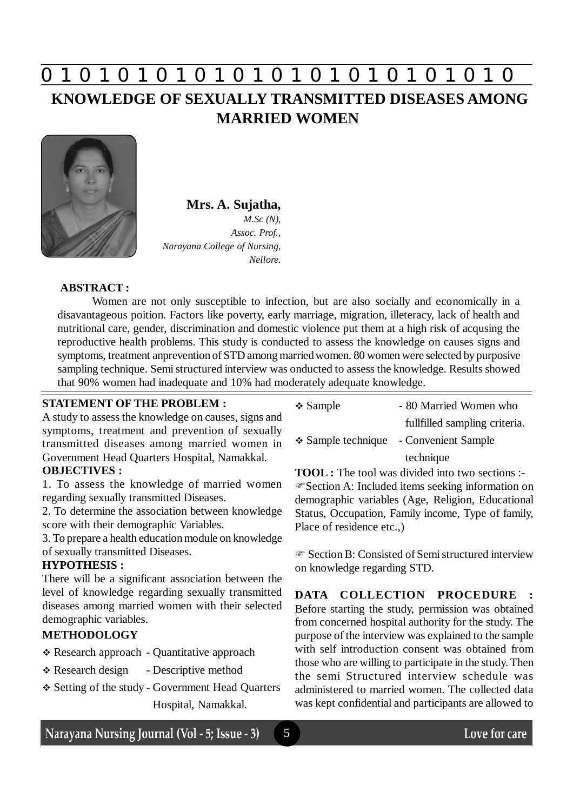# **0 z 0 z 0 z 0 z 0 z 0 z 0 z 0 z 0 z 0 z 0 z 0 z 0**

# **KNOWLEDGE OF SEXUALLY TRANSMITTED DISEASES AMONG MARRIED WOMEN**



# **Mrs. A. Sujatha,**

*M.Sc (N), Assoc. Prof., Narayana College of Nursing, Nellore.*

## **ABSTRACT :**

Women are not only susceptible to infection, but are also socially and economically in a disavantageous poition. Factors like poverty, early marriage, migration, illeteracy, lack of health and nutritional care, gender, discrimination and domestic violence put them at a high risk of acqusing the reproductive health problems. This study is conducted to assess the knowledge on causes signs and symptoms, treatment anprevention of STD among married women. 80 women were selected by purposive sampling technique. Semi structured interview was onducted to assess the knowledge. Results showed that 90% women had inadequate and 10% had moderately adequate knowledge.

5

### **STATEMENT OF THE PROBLEM :**

A study to assess the knowledge on causes, signs and symptoms, treatment and prevention of sexually transmitted diseases among married women in Government Head Quarters Hospital, Namakkal.

# **OBJECTIVES :**

1. To assess the knowledge of married women regarding sexually transmitted Diseases.

2. To determine the association between knowledge score with their demographic Variables.

3. To prepare a health education module on knowledge of sexually transmitted Diseases.

### **HYPOTHESIS :**

There will be a significant association between the level of knowledge regarding sexually transmitted diseases among married women with their selected demographic variables.

### **METHODOLOGY**

- Research approach Quantitative approach
- \* Research design Descriptive method
- Setting of the study Government Head Quarters Hospital, Namakkal.

| $\div$ Sample           | - 80 Married Women who        |
|-------------------------|-------------------------------|
|                         | fullfilled sampling criteria. |
| $\div$ Sample technique | - Convenient Sample           |
|                         | technique                     |

**TOOL :** The tool was divided into two sections :- Section A: Included items seeking information on demographic variables (Age, Religion, Educational Status, Occupation, Family income, Type of family, Place of residence etc..)

 Section B: Consisted of Semi structured interview on knowledge regarding STD.

**DATA COLLECTION PROCEDURE** Before starting the study, permission was obtained from concerned hospital authority for the study. The purpose of the interview was explained to the sample with self introduction consent was obtained from those who are willing to participate in the study. Then the semi Structured interview schedule was administered to married women. The collected data was kept confidential and participants are allowed to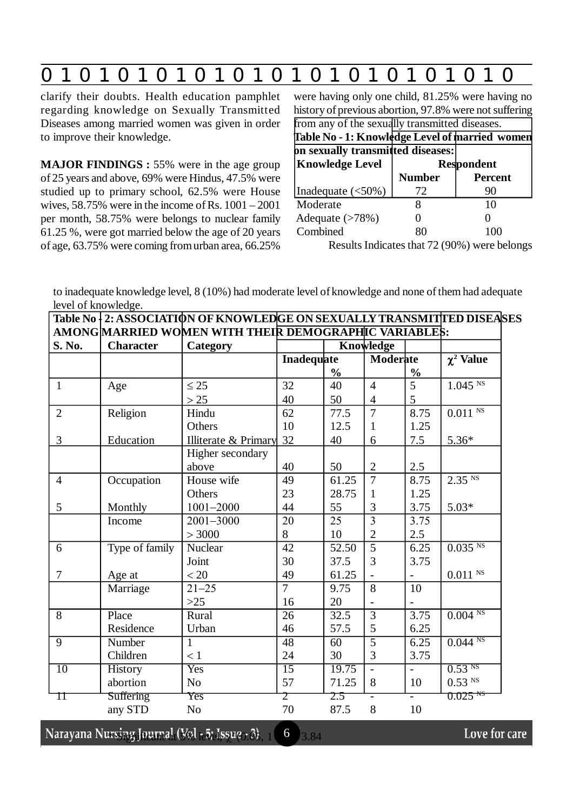|--|

clarify their doubts. Health education pamphlet regarding knowledge on Sexually Transmitted Diseases among married women was given in order to improve their knowledge.

**MAJOR FINDINGS :** 55% were in the age group of 25 years and above, 69% were Hindus, 47.5% were studied up to primary school, 62.5% were House wives,  $58.75\%$  were in the income of Rs.  $1001 - 2001$ per month, 58.75% were belongs to nuclear family 61.25 %, were got married below the age of 20 years of age, 63.75% were coming from urban area, 66.25%

| were having only one child, 81.25% were having no      |                   |                |  |  |  |  |  |  |
|--------------------------------------------------------|-------------------|----------------|--|--|--|--|--|--|
| history of previous abortion, 97.8% were not suffering |                   |                |  |  |  |  |  |  |
| from any of the sexually transmitted diseases.         |                   |                |  |  |  |  |  |  |
| Table No - 1: Knowledge Level of married women         |                   |                |  |  |  |  |  |  |
| on sexually transmitted diseases:                      |                   |                |  |  |  |  |  |  |
| <b>Knowledge Level</b>                                 | <b>Respondent</b> |                |  |  |  |  |  |  |
|                                                        | <b>Number</b>     | <b>Percent</b> |  |  |  |  |  |  |
| Inadequate $(<50\%)$                                   | 72                | 90             |  |  |  |  |  |  |
| Moderate                                               | 8                 | 10             |  |  |  |  |  |  |
| Adequate $(>78%)$                                      |                   |                |  |  |  |  |  |  |
| Combined                                               |                   |                |  |  |  |  |  |  |

Results Indicates that 72 (90%) were belongs

to inadequate knowledge level, 8 (10%) had moderate level of knowledge and none of them had adequate level of knowledge.

| Table No   2: ASSOCIATION OF KNOWLEDGE ON SEXUALLY TRANSMITTED DISEASES |                  |                      |                                                                     |                    |                |                          |                       |
|-------------------------------------------------------------------------|------------------|----------------------|---------------------------------------------------------------------|--------------------|----------------|--------------------------|-----------------------|
| S. No.                                                                  | <b>Character</b> | Category             | AMONG MARRIED WOMEN WITH THEIR DEMOGRAPHIC VARIABLE\$:<br>Knowledge |                    |                |                          |                       |
|                                                                         |                  |                      | Inadequate                                                          |                    | Moderate       |                          | $\chi^2$ Value        |
|                                                                         |                  |                      |                                                                     | $\frac{0}{0}$      |                | $\frac{0}{0}$            |                       |
| $\mathbf{1}$                                                            | Age              | $\leq 25$            | 32                                                                  | 40                 | $\overline{4}$ | 5                        | $1.045$ <sup>NS</sup> |
|                                                                         |                  | $>25$                | 40                                                                  | 50                 | 4              | 5                        |                       |
| $\overline{2}$                                                          | Religion         | Hindu                | 62                                                                  | 77.5               | $\overline{7}$ | 8.75                     | $0.011$ $^{\rm NS}$   |
|                                                                         |                  | Others               | 10                                                                  | 12.5               | 1              | 1.25                     |                       |
| 3                                                                       | Education        | Illiterate & Primary | 32                                                                  | 40                 | 6              | 7.5                      | $5.36*$               |
|                                                                         |                  | Higher secondary     |                                                                     |                    |                |                          |                       |
|                                                                         |                  | above                | 40                                                                  | 50                 | $\overline{2}$ | 2.5                      |                       |
| $\overline{4}$                                                          | Occupation       | House wife           | 49                                                                  | 61.25              | $\overline{7}$ | 8.75                     | $2.35$ <sup>NS</sup>  |
|                                                                         |                  | Others               | 23                                                                  | 28.75              | 1              | 1.25                     |                       |
| 5                                                                       | Monthly          | $1001 - 2000$        | 44                                                                  | 55                 | 3              | 3.75                     | $5.03*$               |
|                                                                         | Income           | 2001-3000            | 20                                                                  | $\overline{25}$    | $\overline{3}$ | 3.75                     |                       |
|                                                                         |                  | > 3000               | 8                                                                   | 10                 | $\overline{2}$ | 2.5                      |                       |
| 6                                                                       | Type of family   | Nuclear              | 42                                                                  | $\overline{52.50}$ | $\overline{5}$ | 6.25                     | $0.035$ <sup>NS</sup> |
|                                                                         |                  | Joint                | 30                                                                  | 37.5               | 3              | 3.75                     |                       |
| $\overline{7}$                                                          | Age at           | < 20                 | 49                                                                  | 61.25              |                |                          | $0.011$ $^{\rm NS}$   |
|                                                                         | Marriage         | $21 - 25$            | $\overline{7}$                                                      | 9.75               | $\overline{8}$ | 10                       |                       |
|                                                                         |                  | $>25$                | 16                                                                  | 20                 |                |                          |                       |
| $\overline{8}$                                                          | Place            | Rural                | $\overline{26}$                                                     | 32.5               | $\overline{3}$ | 3.75                     | 0.004 <sup>NS</sup>   |
|                                                                         | Residence        | Urban                | 46                                                                  | 57.5               | 5              | 6.25                     |                       |
| 9                                                                       | Number           | 1                    | 48                                                                  | 60                 | $\overline{5}$ | 6.25                     | $0.044$ <sup>NS</sup> |
|                                                                         | Children         | < 1                  | 24                                                                  | 30                 | 3              | 3.75                     |                       |
| $\overline{10}$                                                         | <b>History</b>   | Yes                  | $\overline{15}$                                                     | 19.75              |                | $\overline{\phantom{0}}$ | 0.53 <sup>NS</sup>    |
|                                                                         | abortion         | No.                  | 57                                                                  | 71.25              | 8              | 10                       | $0.53$ <sup>NS</sup>  |
| П                                                                       | <b>Suffering</b> | $\gamma_{\rm CS}$    | $\mathcal{I}$                                                       | 2.5                |                | $\overline{\phantom{0}}$ | $0.025$ NS            |
|                                                                         | any STD          | N <sub>o</sub>       | 70                                                                  | 87.5               | 8              | 10                       |                       |

rsing Journal (Vol $_{1}$ 5) lesue $_{1}$ 3)  $_{1}$  = 6  $_{1}$   $_{3.84}$ 

Love for care